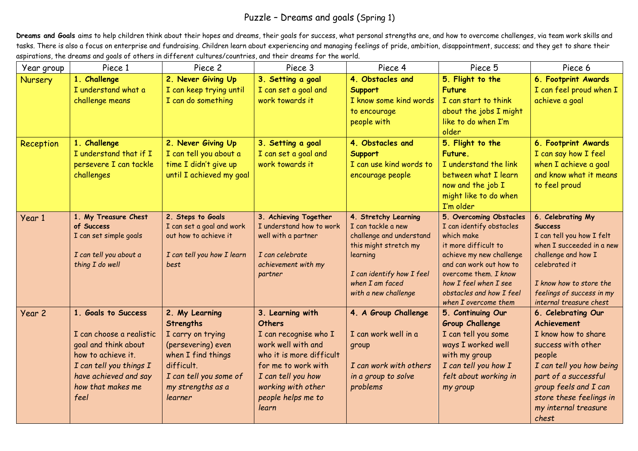## Puzzle – Dreams and goals (Spring 1)

Dreams and Goals aims to help children think about their hopes and dreams, their goals for success, what personal strengths are, and how to overcome challenges, via team work skills and tasks. There is also a focus on enterprise and fundraising. Children learn about experiencing and managing feelings of pride, ambition, disappointment, success; and they get to share their aspirations, the dreams and goals of others in different cultures/countries, and their dreams for the world.

| Year group     | Piece 1                            | Piece 2                                        | Piece 3                                           | Piece 4                                    | Piece 5                                             | Piece 6                                              |
|----------------|------------------------------------|------------------------------------------------|---------------------------------------------------|--------------------------------------------|-----------------------------------------------------|------------------------------------------------------|
| <b>Nursery</b> | 1. Challenge                       | 2. Never Giving Up                             | 3. Setting a goal                                 | 4. Obstacles and                           | 5. Flight to the                                    | 6. Footprint Awards                                  |
|                | I understand what a                | I can keep trying until                        | I can set a goal and                              | Support                                    | <b>Future</b>                                       | I can feel proud when I                              |
|                | challenge means                    | I can do something                             | work towards it                                   | I know some kind words                     | I can start to think                                | achieve a goal                                       |
|                |                                    |                                                |                                                   | to encourage                               | about the jobs I might                              |                                                      |
|                |                                    |                                                |                                                   | people with                                | like to do when I'm                                 |                                                      |
|                |                                    |                                                |                                                   |                                            | older                                               |                                                      |
| Reception      | 1. Challenge                       | 2. Never Giving Up                             | 3. Setting a goal                                 | 4. Obstacles and                           | 5. Flight to the                                    | 6. Footprint Awards                                  |
|                | I understand that if I             | I can tell you about a                         | I can set a goal and                              | <b>Support</b>                             | Future.                                             | I can say how I feel                                 |
|                | persevere I can tackle             | time I didn't give up                          | work towards it                                   | I can use kind words to                    | I understand the link                               | when I achieve a goal                                |
|                | challenges                         | until I achieved my goal                       |                                                   | encourage people                           | between what I learn                                | and know what it means                               |
|                |                                    |                                                |                                                   |                                            | now and the job I                                   | to feel proud                                        |
|                |                                    |                                                |                                                   |                                            | might like to do when                               |                                                      |
|                |                                    |                                                |                                                   |                                            | I'm older                                           | 6. Celebrating My                                    |
| Year 1         | 1. My Treasure Chest<br>of Success | 2. Steps to Goals<br>I can set a goal and work | 3. Achieving Together<br>I understand how to work | 4. Stretchy Learning<br>I can tackle a new | 5. Overcoming Obstacles<br>I can identify obstacles | <b>Success</b>                                       |
|                | I can set simple goals             | out how to achieve it                          | well with a partner                               | challenge and understand                   | which make                                          | I can tell you how I felt                            |
|                |                                    |                                                |                                                   | this might stretch my                      | it more difficult to                                | when I succeeded in a new                            |
|                | I can tell you about a             | I can tell you how I learn                     | I can celebrate                                   | learning                                   | achieve my new challenge                            | challenge and how I                                  |
|                | thing I do well                    | best                                           | achievement with my                               |                                            | and can work out how to                             | celebrated it                                        |
|                |                                    |                                                | partner                                           | I can identify how I feel                  | overcome them. I know                               |                                                      |
|                |                                    |                                                |                                                   | when I am faced                            | how I feel when I see<br>obstacles and how I feel   | I know how to store the                              |
|                |                                    |                                                |                                                   | with a new challenge                       | when I overcome them                                | feelings of success in my<br>internal treasure chest |
| Year 2         | 1. Goals to Success                | 2. My Learning                                 | 3. Learning with                                  | 4. A Group Challenge                       | 5. Continuing Our                                   | 6. Celebrating Our                                   |
|                |                                    | <b>Strengths</b>                               | <b>Others</b>                                     |                                            | <b>Group Challenge</b>                              | <b>Achievement</b>                                   |
|                | I can choose a realistic           | I carry on trying                              | I can recognise who I                             | I can work well in a                       | I can tell you some                                 | I know how to share                                  |
|                | goal and think about               | (persevering) even                             | work well with and                                | group                                      | ways I worked well                                  | success with other                                   |
|                | how to achieve it.                 | when I find things                             | who it is more difficult                          |                                            | with my group                                       | people                                               |
|                | I can tell you things I            | difficult.                                     | for me to work with                               | I can work with others                     | I can tell you how I                                | I can tell you how being                             |
|                | have achieved and say              | I can tell you some of                         | I can tell you how                                | in a group to solve                        | felt about working in                               | part of a successful                                 |
|                | how that makes me                  | my strengths as a                              | working with other                                | problems                                   | my group                                            | group feels and I can                                |
|                | feel                               | learner                                        | people helps me to                                |                                            |                                                     | store these feelings in                              |
|                |                                    |                                                | learn                                             |                                            |                                                     | my internal treasure                                 |
|                |                                    |                                                |                                                   |                                            |                                                     | chest                                                |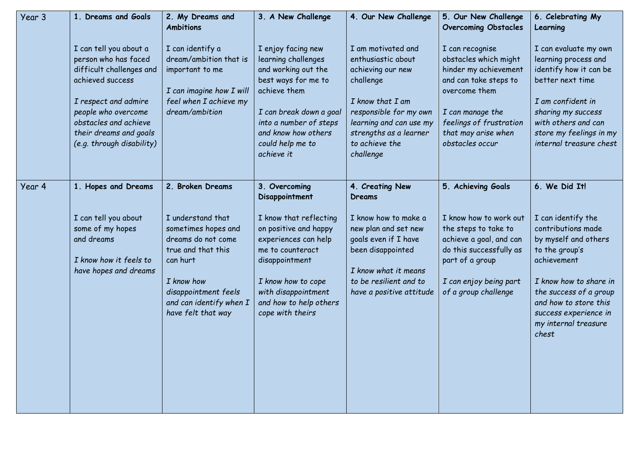| Year 3 | 1. Dreams and Goals                                                                                                                                                                                                           | 2. My Dreams and<br><b>Ambitions</b>                                                                                                                                                    | 3. A New Challenge                                                                                                                                                                                                    | 4. Our New Challenge                                                                                                                                                                                         | 5. Our New Challenge<br><b>Overcoming Obstacles</b>                                                                                                                                                  | 6. Celebrating My<br>Learning                                                                                                                                                                                                            |
|--------|-------------------------------------------------------------------------------------------------------------------------------------------------------------------------------------------------------------------------------|-----------------------------------------------------------------------------------------------------------------------------------------------------------------------------------------|-----------------------------------------------------------------------------------------------------------------------------------------------------------------------------------------------------------------------|--------------------------------------------------------------------------------------------------------------------------------------------------------------------------------------------------------------|------------------------------------------------------------------------------------------------------------------------------------------------------------------------------------------------------|------------------------------------------------------------------------------------------------------------------------------------------------------------------------------------------------------------------------------------------|
|        |                                                                                                                                                                                                                               |                                                                                                                                                                                         |                                                                                                                                                                                                                       |                                                                                                                                                                                                              |                                                                                                                                                                                                      |                                                                                                                                                                                                                                          |
|        | I can tell you about a<br>person who has faced<br>difficult challenges and<br>achieved success<br>I respect and admire<br>people who overcome<br>obstacles and achieve<br>their dreams and goals<br>(e.g. through disability) | I can identify a<br>dream/ambition that is<br>important to me<br>I can imagine how I will<br>feel when I achieve my<br>dream/ambition                                                   | I enjoy facing new<br>learning challenges<br>and working out the<br>best ways for me to<br>achieve them<br>I can break down a goal<br>into a number of steps<br>and know how others<br>could help me to<br>achieve it | I am motivated and<br>enthusiastic about<br>achieving our new<br>challenge<br>I know that I am<br>responsible for my own<br>learning and can use my<br>strengths as a learner<br>to achieve the<br>challenge | I can recognise<br>obstacles which might<br>hinder my achievement<br>and can take steps to<br>overcome them<br>I can manage the<br>feelings of frustration<br>that may arise when<br>obstacles occur | I can evaluate my own<br>learning process and<br>identify how it can be<br>better next time<br>I am confident in<br>sharing my success<br>with others and can<br>store my feelings in my<br>internal treasure chest                      |
|        |                                                                                                                                                                                                                               |                                                                                                                                                                                         |                                                                                                                                                                                                                       |                                                                                                                                                                                                              |                                                                                                                                                                                                      |                                                                                                                                                                                                                                          |
| Year 4 | 1. Hopes and Dreams                                                                                                                                                                                                           | 2. Broken Dreams                                                                                                                                                                        | 3. Overcoming<br>Disappointment                                                                                                                                                                                       | 4. Creating New<br><b>Dreams</b>                                                                                                                                                                             | 5. Achieving Goals                                                                                                                                                                                   | 6. We Did It!                                                                                                                                                                                                                            |
|        | I can tell you about<br>some of my hopes<br>and dreams<br>I know how it feels to<br>have hopes and dreams                                                                                                                     | I understand that<br>sometimes hopes and<br>dreams do not come<br>true and that this<br>can hurt<br>I know how<br>disappointment feels<br>and can identify when I<br>have felt that way | I know that reflecting<br>on positive and happy<br>experiences can help<br>me to counteract<br>disappointment<br>I know how to cope<br>with disappointment<br>and how to help others<br>cope with theirs              | I know how to make a<br>new plan and set new<br>goals even if I have<br>been disappointed<br>I know what it means<br>to be resilient and to<br>have a positive attitude                                      | I know how to work out<br>the steps to take to<br>achieve a goal, and can<br>do this successfully as<br>part of a group<br>I can enjoy being part<br>of a group challenge                            | I can identify the<br>contributions made<br>by myself and others<br>to the group's<br>achievement<br>I know how to share in<br>the success of a group<br>and how to store this<br>success experience in<br>my internal treasure<br>chest |
|        |                                                                                                                                                                                                                               |                                                                                                                                                                                         |                                                                                                                                                                                                                       |                                                                                                                                                                                                              |                                                                                                                                                                                                      |                                                                                                                                                                                                                                          |